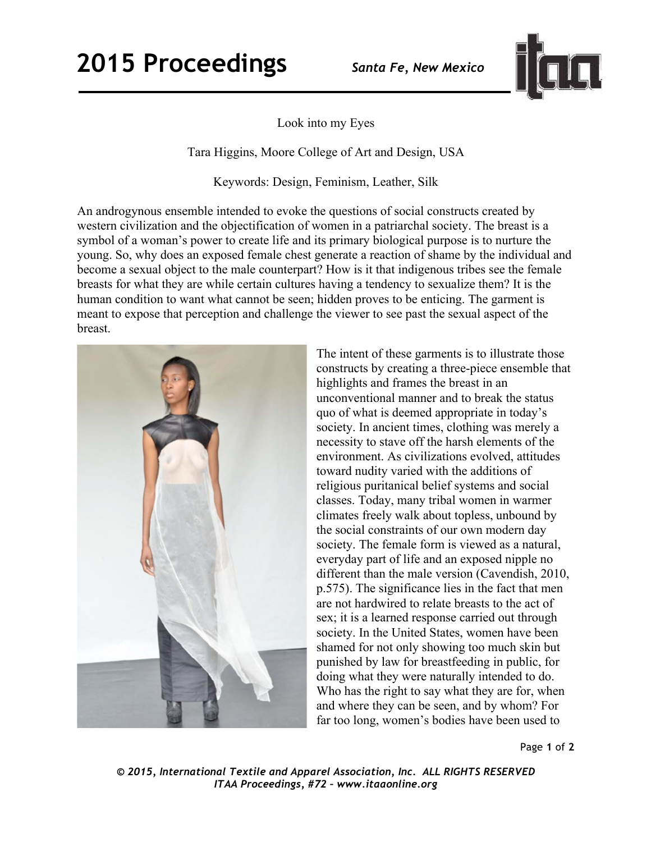## **2015 Proceedings** *Santa Fe, New Mexico*



Look into my Eyes

Tara Higgins, Moore College of Art and Design, USA

Keywords: Design, Feminism, Leather, Silk

An androgynous ensemble intended to evoke the questions of social constructs created by western civilization and the objectification of women in a patriarchal society. The breast is a symbol of a woman's power to create life and its primary biological purpose is to nurture the young. So, why does an exposed female chest generate a reaction of shame by the individual and become a sexual object to the male counterpart? How is it that indigenous tribes see the female breasts for what they are while certain cultures having a tendency to sexualize them? It is the human condition to want what cannot be seen; hidden proves to be enticing. The garment is meant to expose that perception and challenge the viewer to see past the sexual aspect of the breast.



The intent of these garments is to illustrate those constructs by creating a three-piece ensemble that highlights and frames the breast in an unconventional manner and to break the status quo of what is deemed appropriate in today's society. In ancient times, clothing was merely a necessity to stave off the harsh elements of the environment. As civilizations evolved, attitudes toward nudity varied with the additions of religious puritanical belief systems and social classes. Today, many tribal women in warmer climates freely walk about topless, unbound by the social constraints of our own modern day society. The female form is viewed as a natural, everyday part of life and an exposed nipple no different than the male version (Cavendish, 2010, p.575). The significance lies in the fact that men are not hardwired to relate breasts to the act of sex; it is a learned response carried out through society. In the United States, women have been shamed for not only showing too much skin but punished by law for breastfeeding in public, for doing what they were naturally intended to do. Who has the right to say what they are for, when and where they can be seen, and by whom? For far too long, women's bodies have been used to

Page **1** of **2** 

*© 2015, International Textile and Apparel Association, Inc. ALL RIGHTS RESERVED ITAA Proceedings, #72 – www.itaaonline.org*